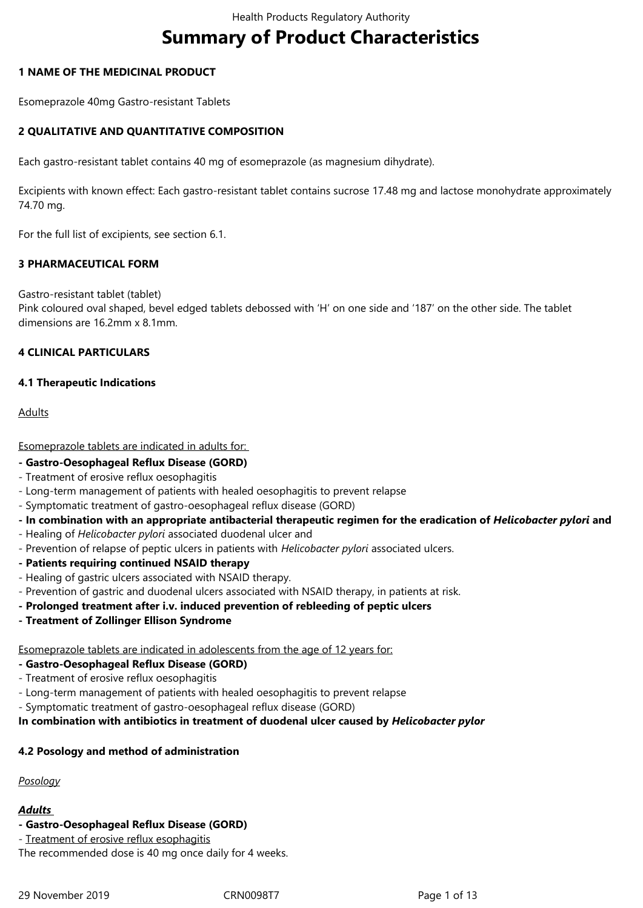# **Summary of Product Characteristics**

## **1 NAME OF THE MEDICINAL PRODUCT**

Esomeprazole 40mg Gastro-resistant Tablets

# **2 QUALITATIVE AND QUANTITATIVE COMPOSITION**

Each gastro-resistant tablet contains 40 mg of esomeprazole (as magnesium dihydrate).

Excipients with known effect: Each gastro-resistant tablet contains sucrose 17.48 mg and lactose monohydrate approximately 74.70 mg.

For the full list of excipients, see section 6.1.

# **3 PHARMACEUTICAL FORM**

Gastro-resistant tablet (tablet)

Pink coloured oval shaped, bevel edged tablets debossed with 'H' on one side and '187' on the other side. The tablet dimensions are 16.2mm x 8.1mm.

# **4 CLINICAL PARTICULARS**

# **4.1 Therapeutic Indications**

# Adults

Esomeprazole tablets are indicated in adults for:

#### **- Gastro-Oesophageal Reflux Disease (GORD)**

- Treatment of erosive reflux oesophagitis
- Long-term management of patients with healed oesophagitis to prevent relapse
- Symptomatic treatment of gastro-oesophageal reflux disease (GORD)
- **In combination with an appropriate antibacterial therapeutic regimen for the eradication of** *Helicobacter pylori* **and**
- Healing of *Helicobacter pylori* associated duodenal ulcer and
- Prevention of relapse of peptic ulcers in patients with *Helicobacter pylori* associated ulcers.
- **Patients requiring continued NSAID therapy**
- Healing of gastric ulcers associated with NSAID therapy.
- Prevention of gastric and duodenal ulcers associated with NSAID therapy, in patients at risk.
- **Prolonged treatment after i.v. induced prevention of rebleeding of peptic ulcers**
- **Treatment of Zollinger Ellison Syndrome**

Esomeprazole tablets are indicated in adolescents from the age of 12 years for:

- **Gastro-Oesophageal Reflux Disease (GORD)**
- Treatment of erosive reflux oesophagitis
- Long-term management of patients with healed oesophagitis to prevent relapse
- Symptomatic treatment of gastro-oesophageal reflux disease (GORD)

**In combination with antibiotics in treatment of duodenal ulcer caused by** *Helicobacter pylor*

# **4.2 Posology and method of administration**

*Posology*

#### *Adults*

#### **- Gastro-Oesophageal Reflux Disease (GORD)**

- Treatment of erosive reflux esophagitis

The recommended dose is 40 mg once daily for 4 weeks.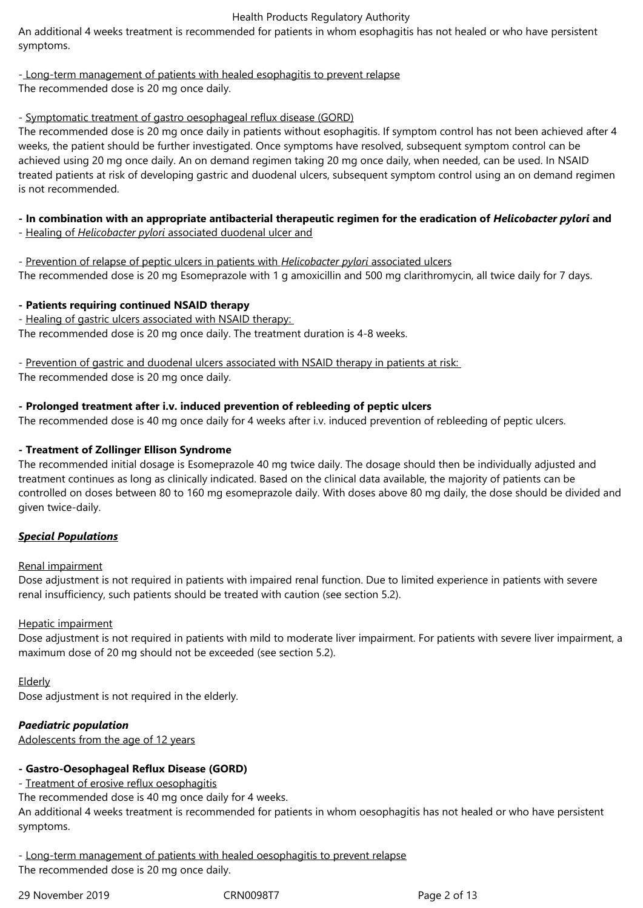An additional 4 weeks treatment is recommended for patients in whom esophagitis has not healed or who have persistent symptoms.

# - Long-term management of patients with healed esophagitis to prevent relapse

The recommended dose is 20 mg once daily.

# - Symptomatic treatment of gastro oesophageal reflux disease (GORD)

The recommended dose is 20 mg once daily in patients without esophagitis. If symptom control has not been achieved after 4 weeks, the patient should be further investigated. Once symptoms have resolved, subsequent symptom control can be achieved using 20 mg once daily. An on demand regimen taking 20 mg once daily, when needed, can be used. In NSAID treated patients at risk of developing gastric and duodenal ulcers, subsequent symptom control using an on demand regimen is not recommended.

# **- In combination with an appropriate antibacterial therapeutic regimen for the eradication of** *Helicobacter pylori* **and**

- Healing of *Helicobacter pylori* associated duodenal ulcer and
- Prevention of relapse of peptic ulcers in patients with *Helicobacter pylori* associated ulcers

The recommended dose is 20 mg Esomeprazole with 1 g amoxicillin and 500 mg clarithromycin, all twice daily for 7 days.

# **- Patients requiring continued NSAID therapy**

- Healing of gastric ulcers associated with NSAID therapy: The recommended dose is 20 mg once daily. The treatment duration is 4-8 weeks.

- Prevention of gastric and duodenal ulcers associated with NSAID therapy in patients at risk: The recommended dose is 20 mg once daily.

# **- Prolonged treatment after i.v. induced prevention of rebleeding of peptic ulcers**

The recommended dose is 40 mg once daily for 4 weeks after i.v. induced prevention of rebleeding of peptic ulcers.

# **- Treatment of Zollinger Ellison Syndrome**

The recommended initial dosage is Esomeprazole 40 mg twice daily. The dosage should then be individually adjusted and treatment continues as long as clinically indicated. Based on the clinical data available, the majority of patients can be controlled on doses between 80 to 160 mg esomeprazole daily. With doses above 80 mg daily, the dose should be divided and given twice-daily.

# *Special Populations*

# Renal impairment

Dose adjustment is not required in patients with impaired renal function. Due to limited experience in patients with severe renal insufficiency, such patients should be treated with caution (see section 5.2).

# Hepatic impairment

Dose adjustment is not required in patients with mild to moderate liver impairment. For patients with severe liver impairment, a maximum dose of 20 mg should not be exceeded (see section 5.2).

# **Elderly**

Dose adjustment is not required in the elderly.

# *Paediatric population*

Adolescents from the age of 12 years

# **- Gastro-Oesophageal Reflux Disease (GORD)**

- Treatment of erosive reflux oesophagitis

The recommended dose is 40 mg once daily for 4 weeks.

An additional 4 weeks treatment is recommended for patients in whom oesophagitis has not healed or who have persistent symptoms.

- Long-term management of patients with healed oesophagitis to prevent relapse The recommended dose is 20 mg once daily.

29 November 2019 CRN0098T7 Page 2 of 13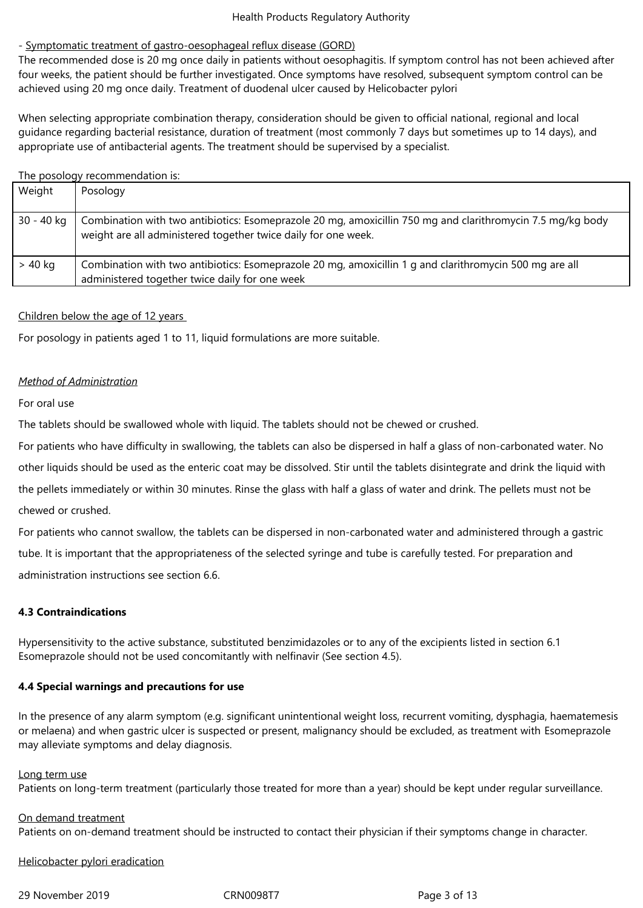## - Symptomatic treatment of gastro-oesophageal reflux disease (GORD)

The recommended dose is 20 mg once daily in patients without oesophagitis. If symptom control has not been achieved after four weeks, the patient should be further investigated. Once symptoms have resolved, subsequent symptom control can be achieved using 20 mg once daily. Treatment of duodenal ulcer caused by Helicobacter pylori

When selecting appropriate combination therapy, consideration should be given to official national, regional and local guidance regarding bacterial resistance, duration of treatment (most commonly 7 days but sometimes up to 14 days), and appropriate use of antibacterial agents. The treatment should be supervised by a specialist.

#### The posology recommendation is:

| Weight     | Posology                                                                                                                                                                     |
|------------|------------------------------------------------------------------------------------------------------------------------------------------------------------------------------|
| 30 - 40 kg | Combination with two antibiotics: Esomeprazole 20 mg, amoxicillin 750 mg and clarithromycin 7.5 mg/kg body<br>weight are all administered together twice daily for one week. |
| > 40 kg    | Combination with two antibiotics: Esomeprazole 20 mg, amoxicillin 1 g and clarithromycin 500 mg are all<br>administered together twice daily for one week                    |

# Children below the age of 12 years

For posology in patients aged 1 to 11, liquid formulations are more suitable.

# *Method of Administration*

#### For oral use

The tablets should be swallowed whole with liquid. The tablets should not be chewed or crushed.

For patients who have difficulty in swallowing, the tablets can also be dispersed in half a glass of non-carbonated water. No

other liquids should be used as the enteric coat may be dissolved. Stir until the tablets disintegrate and drink the liquid with

the pellets immediately or within 30 minutes. Rinse the glass with half a glass of water and drink. The pellets must not be chewed or crushed.

For patients who cannot swallow, the tablets can be dispersed in non-carbonated water and administered through a gastric tube. It is important that the appropriateness of the selected syringe and tube is carefully tested. For preparation and administration instructions see section 6.6.

# **4.3 Contraindications**

Hypersensitivity to the active substance, substituted benzimidazoles or to any of the excipients listed in section 6.1 Esomeprazole should not be used concomitantly with nelfinavir (See section 4.5).

#### **4.4 Special warnings and precautions for use**

In the presence of any alarm symptom (e.g. significant unintentional weight loss, recurrent vomiting, dysphagia, haematemesis or melaena) and when gastric ulcer is suspected or present, malignancy should be excluded, as treatment with Esomeprazole may alleviate symptoms and delay diagnosis.

#### Long term use

Patients on long-term treatment (particularly those treated for more than a year) should be kept under regular surveillance.

# On demand treatment

Patients on on-demand treatment should be instructed to contact their physician if their symptoms change in character.

Helicobacter pylori eradication

29 November 2019 CRN0098T7 Page 3 of 13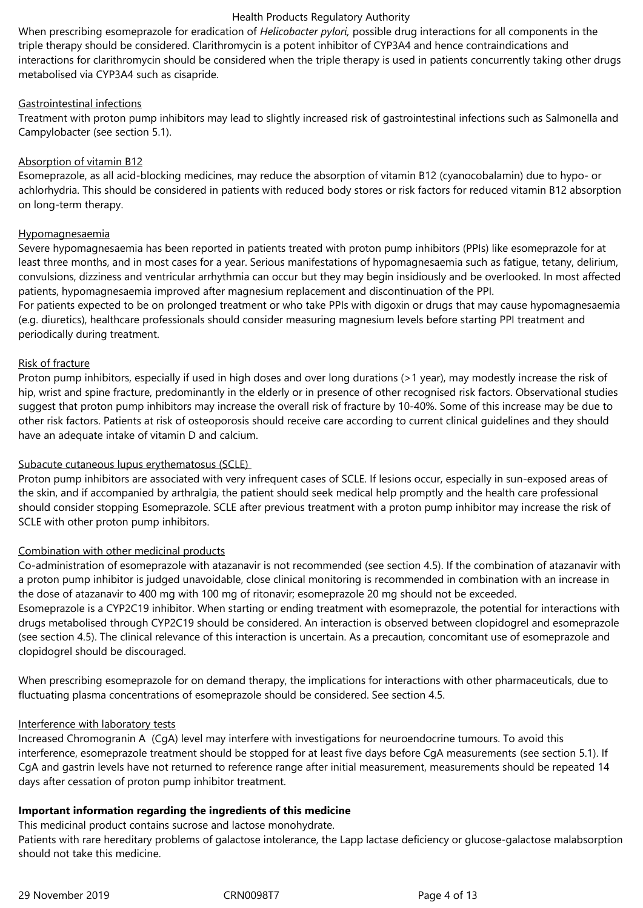When prescribing esomeprazole for eradication of *Helicobacter pylori,* possible drug interactions for all components in the triple therapy should be considered. Clarithromycin is a potent inhibitor of CYP3A4 and hence contraindications and interactions for clarithromycin should be considered when the triple therapy is used in patients concurrently taking other drugs metabolised via CYP3A4 such as cisapride.

## Gastrointestinal infections

Treatment with proton pump inhibitors may lead to slightly increased risk of gastrointestinal infections such as Salmonella and Campylobacter (see section 5.1).

# Absorption of vitamin B12

Esomeprazole, as all acid-blocking medicines, may reduce the absorption of vitamin B12 (cyanocobalamin) due to hypo- or achlorhydria. This should be considered in patients with reduced body stores or risk factors for reduced vitamin B12 absorption on long-term therapy.

# Hypomagnesaemia

Severe hypomagnesaemia has been reported in patients treated with proton pump inhibitors (PPIs) like esomeprazole for at least three months, and in most cases for a year. Serious manifestations of hypomagnesaemia such as fatigue, tetany, delirium, convulsions, dizziness and ventricular arrhythmia can occur but they may begin insidiously and be overlooked. In most affected patients, hypomagnesaemia improved after magnesium replacement and discontinuation of the PPI.

For patients expected to be on prolonged treatment or who take PPIs with digoxin or drugs that may cause hypomagnesaemia (e.g. diuretics), healthcare professionals should consider measuring magnesium levels before starting PPI treatment and periodically during treatment.

# Risk of fracture

Proton pump inhibitors, especially if used in high doses and over long durations (>1 year), may modestly increase the risk of hip, wrist and spine fracture, predominantly in the elderly or in presence of other recognised risk factors. Observational studies suggest that proton pump inhibitors may increase the overall risk of fracture by 10-40%. Some of this increase may be due to other risk factors. Patients at risk of osteoporosis should receive care according to current clinical guidelines and they should have an adequate intake of vitamin D and calcium.

#### Subacute cutaneous lupus erythematosus (SCLE)

Proton pump inhibitors are associated with very infrequent cases of SCLE. If lesions occur, especially in sun-exposed areas of the skin, and if accompanied by arthralgia, the patient should seek medical help promptly and the health care professional should consider stopping Esomeprazole. SCLE after previous treatment with a proton pump inhibitor may increase the risk of SCLE with other proton pump inhibitors.

# Combination with other medicinal products

Co-administration of esomeprazole with atazanavir is not recommended (see section 4.5). If the combination of atazanavir with a proton pump inhibitor is judged unavoidable, close clinical monitoring is recommended in combination with an increase in the dose of atazanavir to 400 mg with 100 mg of ritonavir; esomeprazole 20 mg should not be exceeded. Esomeprazole is a CYP2C19 inhibitor. When starting or ending treatment with esomeprazole, the potential for interactions with drugs metabolised through CYP2C19 should be considered. An interaction is observed between clopidogrel and esomeprazole (see section 4.5). The clinical relevance of this interaction is uncertain. As a precaution, concomitant use of esomeprazole and clopidogrel should be discouraged.

When prescribing esomeprazole for on demand therapy, the implications for interactions with other pharmaceuticals, due to fluctuating plasma concentrations of esomeprazole should be considered. See section 4.5.

# Interference with laboratory tests

Increased Chromogranin A (CgA) level may interfere with investigations for neuroendocrine tumours. To avoid this interference, esomeprazole treatment should be stopped for at least five days before CgA measurements (see section 5.1). If CgA and gastrin levels have not returned to reference range after initial measurement, measurements should be repeated 14 days after cessation of proton pump inhibitor treatment.

# **Important information regarding the ingredients of this medicine**

This medicinal product contains sucrose and lactose monohydrate.

Patients with rare hereditary problems of galactose intolerance, the Lapp lactase deficiency or glucose-galactose malabsorption should not take this medicine.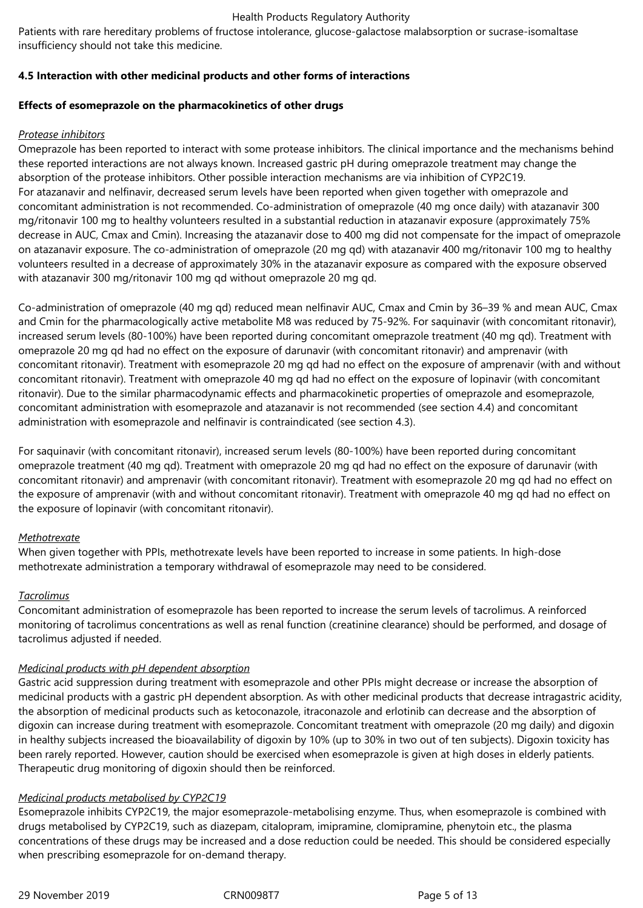Patients with rare hereditary problems of fructose intolerance, glucose-galactose malabsorption or sucrase-isomaltase insufficiency should not take this medicine.

# **4.5 Interaction with other medicinal products and other forms of interactions**

## **Effects of esomeprazole on the pharmacokinetics of other drugs**

## *Protease inhibitors*

Omeprazole has been reported to interact with some protease inhibitors. The clinical importance and the mechanisms behind these reported interactions are not always known. Increased gastric pH during omeprazole treatment may change the absorption of the protease inhibitors. Other possible interaction mechanisms are via inhibition of CYP2C19. For atazanavir and nelfinavir, decreased serum levels have been reported when given together with omeprazole and concomitant administration is not recommended. Co-administration of omeprazole (40 mg once daily) with atazanavir 300 mg/ritonavir 100 mg to healthy volunteers resulted in a substantial reduction in atazanavir exposure (approximately 75% decrease in AUC, Cmax and Cmin). Increasing the atazanavir dose to 400 mg did not compensate for the impact of omeprazole on atazanavir exposure. The co-administration of omeprazole (20 mg qd) with atazanavir 400 mg/ritonavir 100 mg to healthy volunteers resulted in a decrease of approximately 30% in the atazanavir exposure as compared with the exposure observed with atazanavir 300 mg/ritonavir 100 mg qd without omeprazole 20 mg qd.

Co-administration of omeprazole (40 mg qd) reduced mean nelfinavir AUC, Cmax and Cmin by 36–39 % and mean AUC, Cmax and Cmin for the pharmacologically active metabolite M8 was reduced by 75-92%. For saquinavir (with concomitant ritonavir), increased serum levels (80-100%) have been reported during concomitant omeprazole treatment (40 mg qd). Treatment with omeprazole 20 mg qd had no effect on the exposure of darunavir (with concomitant ritonavir) and amprenavir (with concomitant ritonavir). Treatment with esomeprazole 20 mg qd had no effect on the exposure of amprenavir (with and without concomitant ritonavir). Treatment with omeprazole 40 mg qd had no effect on the exposure of lopinavir (with concomitant ritonavir). Due to the similar pharmacodynamic effects and pharmacokinetic properties of omeprazole and esomeprazole, concomitant administration with esomeprazole and atazanavir is not recommended (see section 4.4) and concomitant administration with esomeprazole and nelfinavir is contraindicated (see section 4.3).

For saquinavir (with concomitant ritonavir), increased serum levels (80-100%) have been reported during concomitant omeprazole treatment (40 mg qd). Treatment with omeprazole 20 mg qd had no effect on the exposure of darunavir (with concomitant ritonavir) and amprenavir (with concomitant ritonavir). Treatment with esomeprazole 20 mg qd had no effect on the exposure of amprenavir (with and without concomitant ritonavir). Treatment with omeprazole 40 mg qd had no effect on the exposure of lopinavir (with concomitant ritonavir).

#### *Methotrexate*

When given together with PPIs, methotrexate levels have been reported to increase in some patients. In high-dose methotrexate administration a temporary withdrawal of esomeprazole may need to be considered.

#### *Tacrolimus*

Concomitant administration of esomeprazole has been reported to increase the serum levels of tacrolimus. A reinforced monitoring of tacrolimus concentrations as well as renal function (creatinine clearance) should be performed, and dosage of tacrolimus adjusted if needed.

#### *Medicinal products with pH dependent absorption*

Gastric acid suppression during treatment with esomeprazole and other PPIs might decrease or increase the absorption of medicinal products with a gastric pH dependent absorption. As with other medicinal products that decrease intragastric acidity, the absorption of medicinal products such as ketoconazole, itraconazole and erlotinib can decrease and the absorption of digoxin can increase during treatment with esomeprazole. Concomitant treatment with omeprazole (20 mg daily) and digoxin in healthy subjects increased the bioavailability of digoxin by 10% (up to 30% in two out of ten subjects). Digoxin toxicity has been rarely reported. However, caution should be exercised when esomeprazole is given at high doses in elderly patients. Therapeutic drug monitoring of digoxin should then be reinforced.

## *Medicinal products metabolised by CYP2C19*

Esomeprazole inhibits CYP2C19, the major esomeprazole-metabolising enzyme. Thus, when esomeprazole is combined with drugs metabolised by CYP2C19, such as diazepam, citalopram, imipramine, clomipramine, phenytoin etc., the plasma concentrations of these drugs may be increased and a dose reduction could be needed. This should be considered especially when prescribing esomeprazole for on-demand therapy.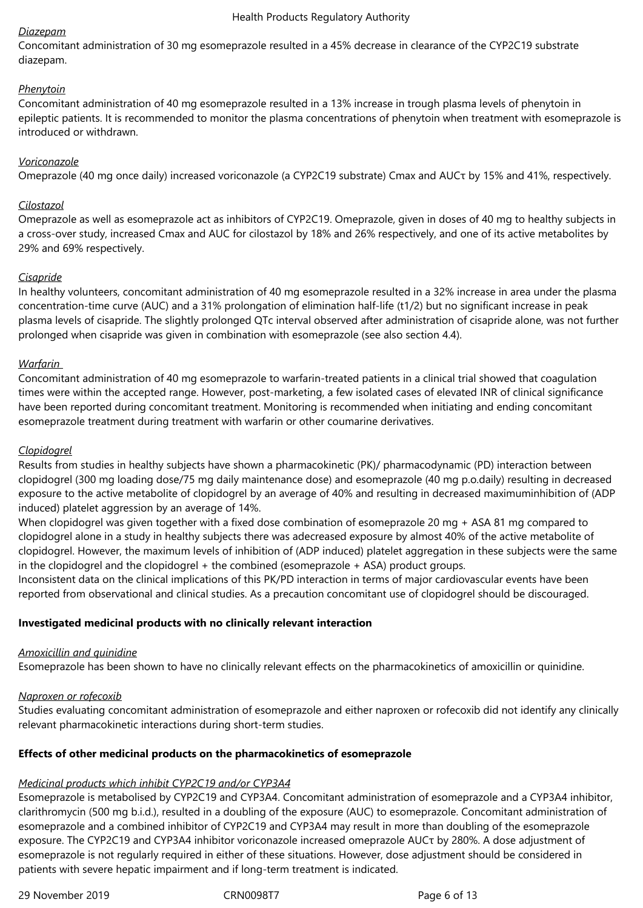# *Diazepam*

Concomitant administration of 30 mg esomeprazole resulted in a 45% decrease in clearance of the CYP2C19 substrate diazepam.

# *Phenytoin*

Concomitant administration of 40 mg esomeprazole resulted in a 13% increase in trough plasma levels of phenytoin in epileptic patients. It is recommended to monitor the plasma concentrations of phenytoin when treatment with esomeprazole is introduced or withdrawn.

# *Voriconazole*

Omeprazole (40 mg once daily) increased voriconazole (a CYP2C19 substrate) Cmax and AUCτ by 15% and 41%, respectively.

# *Cilostazol*

Omeprazole as well as esomeprazole act as inhibitors of CYP2C19. Omeprazole, given in doses of 40 mg to healthy subjects in a cross-over study, increased Cmax and AUC for cilostazol by 18% and 26% respectively, and one of its active metabolites by 29% and 69% respectively.

# *Cisapride*

In healthy volunteers, concomitant administration of 40 mg esomeprazole resulted in a 32% increase in area under the plasma concentration-time curve (AUC) and a 31% prolongation of elimination half-life (t1/2) but no significant increase in peak plasma levels of cisapride. The slightly prolonged QTc interval observed after administration of cisapride alone, was not further prolonged when cisapride was given in combination with esomeprazole (see also section 4.4).

# *Warfarin*

Concomitant administration of 40 mg esomeprazole to warfarin-treated patients in a clinical trial showed that coagulation times were within the accepted range. However, post-marketing, a few isolated cases of elevated INR of clinical significance have been reported during concomitant treatment. Monitoring is recommended when initiating and ending concomitant esomeprazole treatment during treatment with warfarin or other coumarine derivatives.

# *Clopidogrel*

Results from studies in healthy subjects have shown a pharmacokinetic (PK)/ pharmacodynamic (PD) interaction between clopidogrel (300 mg loading dose/75 mg daily maintenance dose) and esomeprazole (40 mg p.o.daily) resulting in decreased exposure to the active metabolite of clopidogrel by an average of 40% and resulting in decreased maximuminhibition of (ADP induced) platelet aggression by an average of 14%.

When clopidogrel was given together with a fixed dose combination of esomeprazole 20 mg + ASA 81 mg compared to clopidogrel alone in a study in healthy subjects there was adecreased exposure by almost 40% of the active metabolite of clopidogrel. However, the maximum levels of inhibition of (ADP induced) platelet aggregation in these subjects were the same in the clopidogrel and the clopidogrel + the combined (esomeprazole + ASA) product groups.

Inconsistent data on the clinical implications of this PK/PD interaction in terms of major cardiovascular events have been reported from observational and clinical studies. As a precaution concomitant use of clopidogrel should be discouraged.

# **Investigated medicinal products with no clinically relevant interaction**

#### *Amoxicillin and quinidine*

Esomeprazole has been shown to have no clinically relevant effects on the pharmacokinetics of amoxicillin or quinidine.

#### *Naproxen or rofecoxib*

Studies evaluating concomitant administration of esomeprazole and either naproxen or rofecoxib did not identify any clinically relevant pharmacokinetic interactions during short-term studies.

# **Effects of other medicinal products on the pharmacokinetics of esomeprazole**

#### *Medicinal products which inhibit CYP2C19 and/or CYP3A4*

Esomeprazole is metabolised by CYP2C19 and CYP3A4. Concomitant administration of esomeprazole and a CYP3A4 inhibitor, clarithromycin (500 mg b.i.d.), resulted in a doubling of the exposure (AUC) to esomeprazole. Concomitant administration of esomeprazole and a combined inhibitor of CYP2C19 and CYP3A4 may result in more than doubling of the esomeprazole exposure. The CYP2C19 and CYP3A4 inhibitor voriconazole increased omeprazole AUCτ by 280%. A dose adjustment of esomeprazole is not regularly required in either of these situations. However, dose adjustment should be considered in patients with severe hepatic impairment and if long-term treatment is indicated.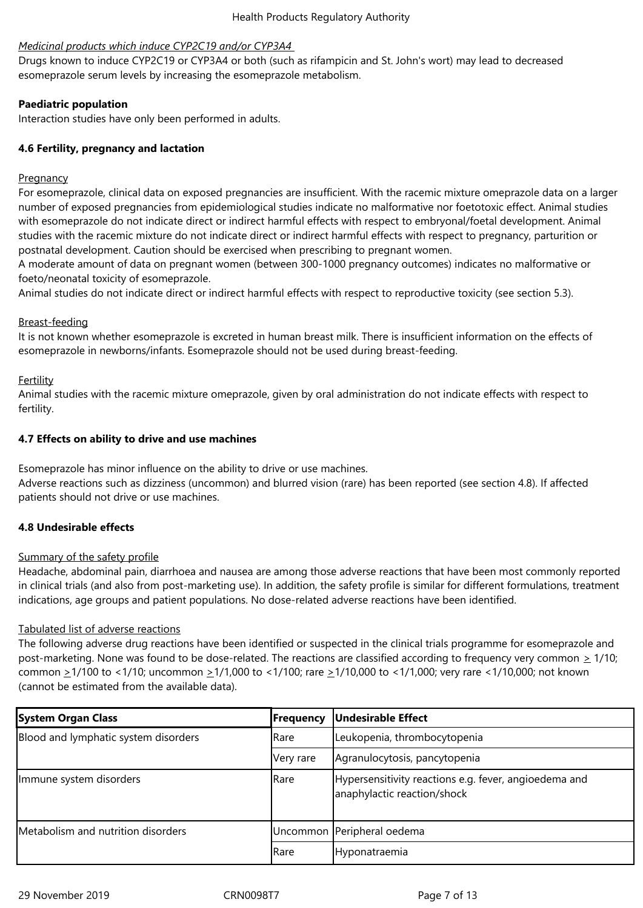# *Medicinal products which induce CYP2C19 and/or CYP3A4*

Drugs known to induce CYP2C19 or CYP3A4 or both (such as rifampicin and St. John's wort) may lead to decreased esomeprazole serum levels by increasing the esomeprazole metabolism.

# **Paediatric population**

Interaction studies have only been performed in adults.

# **4.6 Fertility, pregnancy and lactation**

# Pregnancy

For esomeprazole, clinical data on exposed pregnancies are insufficient. With the racemic mixture omeprazole data on a larger number of exposed pregnancies from epidemiological studies indicate no malformative nor foetotoxic effect. Animal studies with esomeprazole do not indicate direct or indirect harmful effects with respect to embryonal/foetal development. Animal studies with the racemic mixture do not indicate direct or indirect harmful effects with respect to pregnancy, parturition or postnatal development. Caution should be exercised when prescribing to pregnant women.

A moderate amount of data on pregnant women (between 300-1000 pregnancy outcomes) indicates no malformative or foeto/neonatal toxicity of esomeprazole.

Animal studies do not indicate direct or indirect harmful effects with respect to reproductive toxicity (see section 5.3).

# Breast-feeding

It is not known whether esomeprazole is excreted in human breast milk. There is insufficient information on the effects of esomeprazole in newborns/infants. Esomeprazole should not be used during breast-feeding.

# Fertility

Animal studies with the racemic mixture omeprazole, given by oral administration do not indicate effects with respect to fertility.

# **4.7 Effects on ability to drive and use machines**

Esomeprazole has minor influence on the ability to drive or use machines.

Adverse reactions such as dizziness (uncommon) and blurred vision (rare) has been reported (see section 4.8). If affected patients should not drive or use machines.

# **4.8 Undesirable effects**

#### Summary of the safety profile

Headache, abdominal pain, diarrhoea and nausea are among those adverse reactions that have been most commonly reported in clinical trials (and also from post-marketing use). In addition, the safety profile is similar for different formulations, treatment indications, age groups and patient populations. No dose-related adverse reactions have been identified.

#### Tabulated list of adverse reactions

The following adverse drug reactions have been identified or suspected in the clinical trials programme for esomeprazole and post-marketing. None was found to be dose-related. The reactions are classified according to frequency very common  $\geq 1/10$ ; common >1/100 to <1/10; uncommon >1/1,000 to <1/100; rare >1/10,000 to <1/1,000; very rare <1/10,000; not known (cannot be estimated from the available data).

| <b>System Organ Class</b>            | <b>Frequency</b> | <b>Undesirable Effect</b>                                                            |
|--------------------------------------|------------------|--------------------------------------------------------------------------------------|
| Blood and lymphatic system disorders | <b>I</b> Rare    | Leukopenia, thrombocytopenia                                                         |
|                                      | Very rare        | Agranulocytosis, pancytopenia                                                        |
| Immune system disorders              | <b>I</b> Rare    | Hypersensitivity reactions e.g. fever, angioedema and<br>anaphylactic reaction/shock |
| Metabolism and nutrition disorders   |                  | Uncommon Peripheral oedema                                                           |
|                                      | <b>Rare</b>      | Hyponatraemia                                                                        |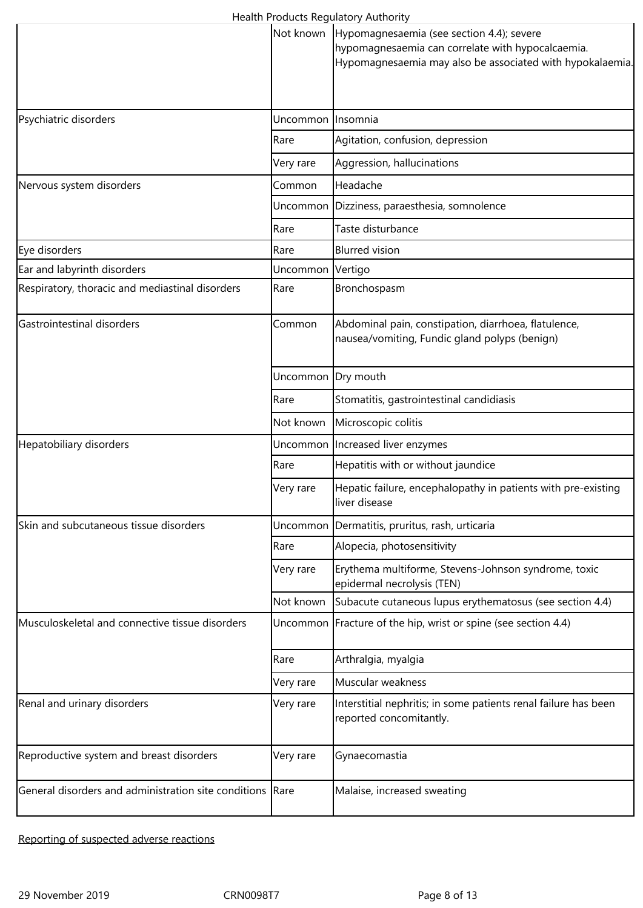|                                                           |           | <b>Caltri Hoddels Regulatory Additionly</b><br>Not known   Hypomagnesaemia (see section 4.4); severe<br>hypomagnesaemia can correlate with hypocalcaemia.<br>Hypomagnesaemia may also be associated with hypokalaemia. |
|-----------------------------------------------------------|-----------|------------------------------------------------------------------------------------------------------------------------------------------------------------------------------------------------------------------------|
| Psychiatric disorders                                     | Uncommon  | Insomnia                                                                                                                                                                                                               |
|                                                           | Rare      | Agitation, confusion, depression                                                                                                                                                                                       |
|                                                           | Very rare | Aggression, hallucinations                                                                                                                                                                                             |
| Nervous system disorders                                  | Common    | Headache                                                                                                                                                                                                               |
|                                                           | Uncommon  | Dizziness, paraesthesia, somnolence                                                                                                                                                                                    |
|                                                           | Rare      | Taste disturbance                                                                                                                                                                                                      |
| Eye disorders                                             | Rare      | <b>Blurred vision</b>                                                                                                                                                                                                  |
| Ear and labyrinth disorders                               | Uncommon  | Vertigo                                                                                                                                                                                                                |
| Respiratory, thoracic and mediastinal disorders           | Rare      | Bronchospasm                                                                                                                                                                                                           |
| Gastrointestinal disorders                                | Common    | Abdominal pain, constipation, diarrhoea, flatulence,<br>nausea/vomiting, Fundic gland polyps (benign)                                                                                                                  |
|                                                           | Uncommon  | Dry mouth                                                                                                                                                                                                              |
|                                                           | Rare      | Stomatitis, gastrointestinal candidiasis                                                                                                                                                                               |
|                                                           | Not known | Microscopic colitis                                                                                                                                                                                                    |
| Hepatobiliary disorders                                   |           | Uncommon Increased liver enzymes                                                                                                                                                                                       |
|                                                           | Rare      | Hepatitis with or without jaundice                                                                                                                                                                                     |
|                                                           | Very rare | Hepatic failure, encephalopathy in patients with pre-existing<br>liver disease                                                                                                                                         |
| Skin and subcutaneous tissue disorders                    | Uncommon  | Dermatitis, pruritus, rash, urticaria                                                                                                                                                                                  |
|                                                           | Rare      | Alopecia, photosensitivity                                                                                                                                                                                             |
|                                                           | Very rare | Erythema multiforme, Stevens-Johnson syndrome, toxic<br>epidermal necrolysis (TEN)                                                                                                                                     |
|                                                           | Not known | Subacute cutaneous lupus erythematosus (see section 4.4)                                                                                                                                                               |
| Musculoskeletal and connective tissue disorders           |           | Uncommon   Fracture of the hip, wrist or spine (see section 4.4)                                                                                                                                                       |
|                                                           | Rare      | Arthralgia, myalgia                                                                                                                                                                                                    |
|                                                           | Very rare | Muscular weakness                                                                                                                                                                                                      |
| Renal and urinary disorders                               | Very rare | Interstitial nephritis; in some patients renal failure has been<br>reported concomitantly.                                                                                                                             |
| Reproductive system and breast disorders                  | Very rare | Gynaecomastia                                                                                                                                                                                                          |
| General disorders and administration site conditions Rare |           | Malaise, increased sweating                                                                                                                                                                                            |

Reporting of suspected adverse reactions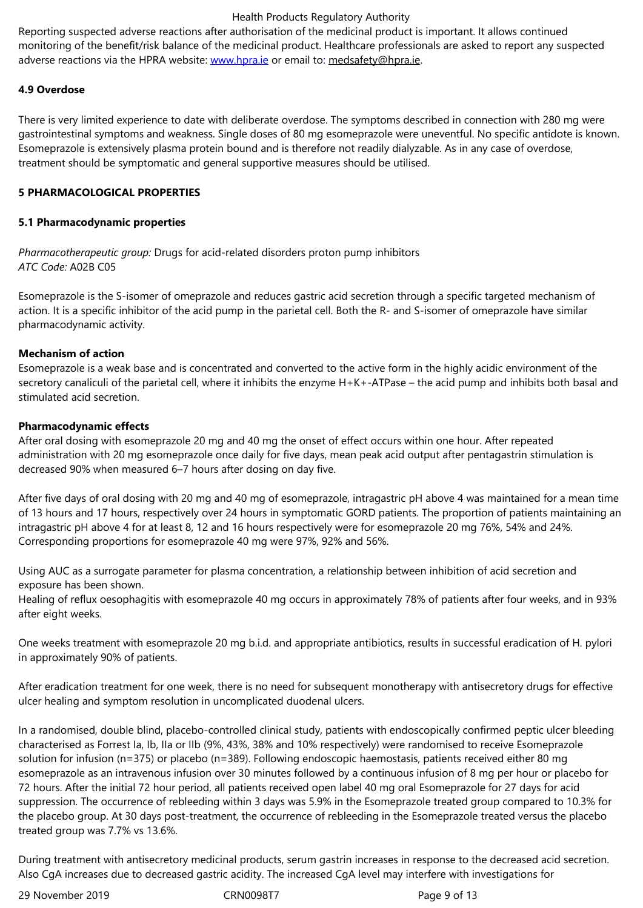adverse reactions via the HPRA website: www.hpra.ie or email to: medsafety@hpra.ie.

# **4.9 Overdose**

There is very limited experience to date [with delibera](http://www.hpra.ie/)te overdose. [The symptoms desc](mailto:medsafety@hpra.ie)ribed in connection with 280 mg were gastrointestinal symptoms and weakness. Single doses of 80 mg esomeprazole were uneventful. No specific antidote is known. Esomeprazole is extensively plasma protein bound and is therefore not readily dialyzable. As in any case of overdose, treatment should be symptomatic and general supportive measures should be utilised.

# **5 PHARMACOLOGICAL PROPERTIES**

## **5.1 Pharmacodynamic properties**

*Pharmacotherapeutic group:* Drugs for acid-related disorders proton pump inhibitors *ATC Code:* A02B C05

Esomeprazole is the S-isomer of omeprazole and reduces gastric acid secretion through a specific targeted mechanism of action. It is a specific inhibitor of the acid pump in the parietal cell. Both the R- and S-isomer of omeprazole have similar pharmacodynamic activity.

# **Mechanism of action**

Esomeprazole is a weak base and is concentrated and converted to the active form in the highly acidic environment of the secretory canaliculi of the parietal cell, where it inhibits the enzyme H+K+-ATPase – the acid pump and inhibits both basal and stimulated acid secretion.

#### **Pharmacodynamic effects**

After oral dosing with esomeprazole 20 mg and 40 mg the onset of effect occurs within one hour. After repeated administration with 20 mg esomeprazole once daily for five days, mean peak acid output after pentagastrin stimulation is decreased 90% when measured 6–7 hours after dosing on day five.

After five days of oral dosing with 20 mg and 40 mg of esomeprazole, intragastric pH above 4 was maintained for a mean time of 13 hours and 17 hours, respectively over 24 hours in symptomatic GORD patients. The proportion of patients maintaining an intragastric pH above 4 for at least 8, 12 and 16 hours respectively were for esomeprazole 20 mg 76%, 54% and 24%. Corresponding proportions for esomeprazole 40 mg were 97%, 92% and 56%.

Using AUC as a surrogate parameter for plasma concentration, a relationship between inhibition of acid secretion and exposure has been shown.

Healing of reflux oesophagitis with esomeprazole 40 mg occurs in approximately 78% of patients after four weeks, and in 93% after eight weeks.

One weeks treatment with esomeprazole 20 mg b.i.d. and appropriate antibiotics, results in successful eradication of H. pylori in approximately 90% of patients.

After eradication treatment for one week, there is no need for subsequent monotherapy with antisecretory drugs for effective ulcer healing and symptom resolution in uncomplicated duodenal ulcers.

In a randomised, double blind, placebo-controlled clinical study, patients with endoscopically confirmed peptic ulcer bleeding characterised as Forrest Ia, Ib, IIa or IIb (9%, 43%, 38% and 10% respectively) were randomised to receive Esomeprazole solution for infusion (n=375) or placebo (n=389). Following endoscopic haemostasis, patients received either 80 mg esomeprazole as an intravenous infusion over 30 minutes followed by a continuous infusion of 8 mg per hour or placebo for 72 hours. After the initial 72 hour period, all patients received open label 40 mg oral Esomeprazole for 27 days for acid suppression. The occurrence of rebleeding within 3 days was 5.9% in the Esomeprazole treated group compared to 10.3% for the placebo group. At 30 days post-treatment, the occurrence of rebleeding in the Esomeprazole treated versus the placebo treated group was 7.7% vs 13.6%.

During treatment with antisecretory medicinal products, serum gastrin increases in response to the decreased acid secretion. Also CgA increases due to decreased gastric acidity. The increased CgA level may interfere with investigations for

29 November 2019 CRN0098T7 Page 9 of 13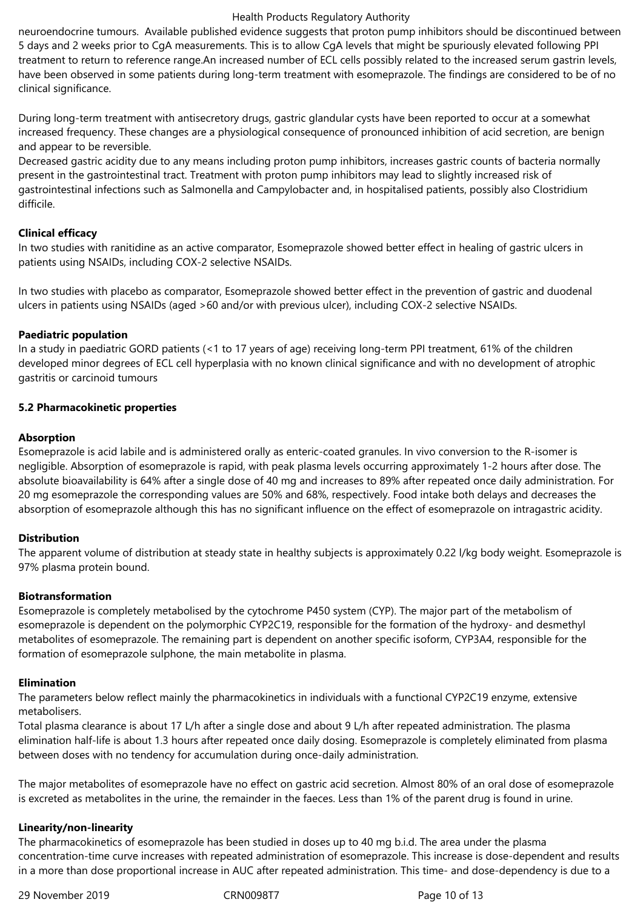neuroendocrine tumours. Available published evidence suggests that proton pump inhibitors should be discontinued between 5 days and 2 weeks prior to CgA measurements. This is to allow CgA levels that might be spuriously elevated following PPI treatment to return to reference range.An increased number of ECL cells possibly related to the increased serum gastrin levels, have been observed in some patients during long-term treatment with esomeprazole. The findings are considered to be of no clinical significance.

During long-term treatment with antisecretory drugs, gastric glandular cysts have been reported to occur at a somewhat increased frequency. These changes are a physiological consequence of pronounced inhibition of acid secretion, are benign and appear to be reversible.

Decreased gastric acidity due to any means including proton pump inhibitors, increases gastric counts of bacteria normally present in the gastrointestinal tract. Treatment with proton pump inhibitors may lead to slightly increased risk of gastrointestinal infections such as Salmonella and Campylobacter and, in hospitalised patients, possibly also Clostridium difficile.

## **Clinical efficacy**

In two studies with ranitidine as an active comparator, Esomeprazole showed better effect in healing of gastric ulcers in patients using NSAIDs, including COX-2 selective NSAIDs.

In two studies with placebo as comparator, Esomeprazole showed better effect in the prevention of gastric and duodenal ulcers in patients using NSAIDs (aged >60 and/or with previous ulcer), including COX-2 selective NSAIDs.

# **Paediatric population**

In a study in paediatric GORD patients (<1 to 17 years of age) receiving long-term PPI treatment, 61% of the children developed minor degrees of ECL cell hyperplasia with no known clinical significance and with no development of atrophic gastritis or carcinoid tumours

# **5.2 Pharmacokinetic properties**

# **Absorption**

Esomeprazole is acid labile and is administered orally as enteric-coated granules. In vivo conversion to the R-isomer is negligible. Absorption of esomeprazole is rapid, with peak plasma levels occurring approximately 1-2 hours after dose. The absolute bioavailability is 64% after a single dose of 40 mg and increases to 89% after repeated once daily administration. For 20 mg esomeprazole the corresponding values are 50% and 68%, respectively. Food intake both delays and decreases the absorption of esomeprazole although this has no significant influence on the effect of esomeprazole on intragastric acidity.

# **Distribution**

The apparent volume of distribution at steady state in healthy subjects is approximately 0.22 l/kg body weight. Esomeprazole is 97% plasma protein bound.

#### **Biotransformation**

Esomeprazole is completely metabolised by the cytochrome P450 system (CYP). The major part of the metabolism of esomeprazole is dependent on the polymorphic CYP2C19, responsible for the formation of the hydroxy- and desmethyl metabolites of esomeprazole. The remaining part is dependent on another specific isoform, CYP3A4, responsible for the formation of esomeprazole sulphone, the main metabolite in plasma.

#### **Elimination**

The parameters below reflect mainly the pharmacokinetics in individuals with a functional CYP2C19 enzyme, extensive metabolisers.

Total plasma clearance is about 17 L/h after a single dose and about 9 L/h after repeated administration. The plasma elimination half-life is about 1.3 hours after repeated once daily dosing. Esomeprazole is completely eliminated from plasma between doses with no tendency for accumulation during once-daily administration.

The major metabolites of esomeprazole have no effect on gastric acid secretion. Almost 80% of an oral dose of esomeprazole is excreted as metabolites in the urine, the remainder in the faeces. Less than 1% of the parent drug is found in urine.

# **Linearity/non-linearity**

The pharmacokinetics of esomeprazole has been studied in doses up to 40 mg b.i.d. The area under the plasma concentration-time curve increases with repeated administration of esomeprazole. This increase is dose-dependent and results in a more than dose proportional increase in AUC after repeated administration. This time- and dose-dependency is due to a

29 November 2019 CRN0098T7 Page 10 of 13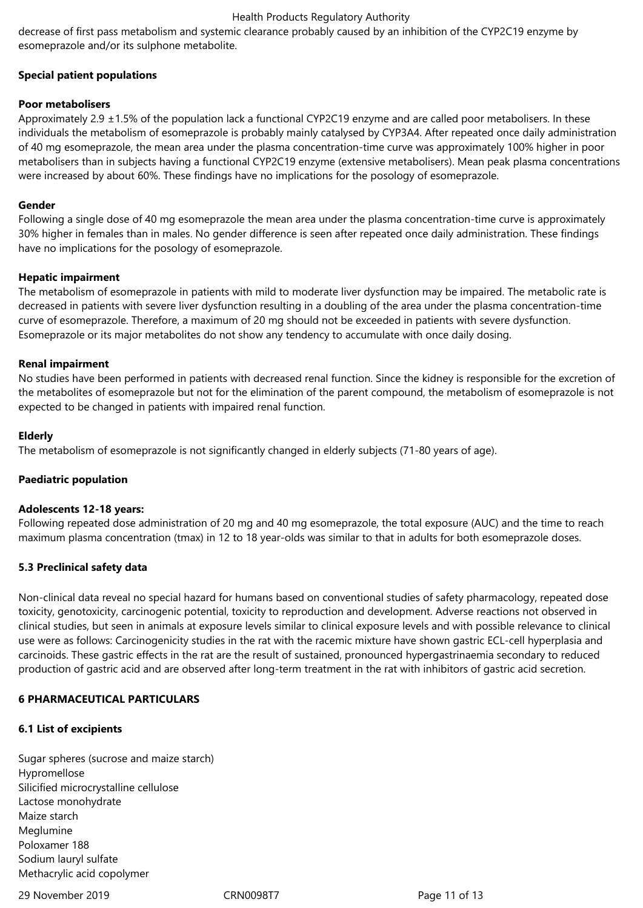decrease of first pass metabolism and systemic clearance probably caused by an inhibition of the CYP2C19 enzyme by esomeprazole and/or its sulphone metabolite.

# **Special patient populations**

# **Poor metabolisers**

Approximately 2.9  $\pm$ 1.5% of the population lack a functional CYP2C19 enzyme and are called poor metabolisers. In these individuals the metabolism of esomeprazole is probably mainly catalysed by CYP3A4. After repeated once daily administration of 40 mg esomeprazole, the mean area under the plasma concentration-time curve was approximately 100% higher in poor metabolisers than in subjects having a functional CYP2C19 enzyme (extensive metabolisers). Mean peak plasma concentrations were increased by about 60%. These findings have no implications for the posology of esomeprazole.

# **Gender**

Following a single dose of 40 mg esomeprazole the mean area under the plasma concentration-time curve is approximately 30% higher in females than in males. No gender difference is seen after repeated once daily administration. These findings have no implications for the posology of esomeprazole.

# **Hepatic impairment**

The metabolism of esomeprazole in patients with mild to moderate liver dysfunction may be impaired. The metabolic rate is decreased in patients with severe liver dysfunction resulting in a doubling of the area under the plasma concentration-time curve of esomeprazole. Therefore, a maximum of 20 mg should not be exceeded in patients with severe dysfunction. Esomeprazole or its major metabolites do not show any tendency to accumulate with once daily dosing.

# **Renal impairment**

No studies have been performed in patients with decreased renal function. Since the kidney is responsible for the excretion of the metabolites of esomeprazole but not for the elimination of the parent compound, the metabolism of esomeprazole is not expected to be changed in patients with impaired renal function.

# **Elderly**

The metabolism of esomeprazole is not significantly changed in elderly subjects (71-80 years of age).

# **Paediatric population**

#### **Adolescents 12-18 years:**

Following repeated dose administration of 20 mg and 40 mg esomeprazole, the total exposure (AUC) and the time to reach maximum plasma concentration (tmax) in 12 to 18 year-olds was similar to that in adults for both esomeprazole doses.

# **5.3 Preclinical safety data**

Non-clinical data reveal no special hazard for humans based on conventional studies of safety pharmacology, repeated dose toxicity, genotoxicity, carcinogenic potential, toxicity to reproduction and development. Adverse reactions not observed in clinical studies, but seen in animals at exposure levels similar to clinical exposure levels and with possible relevance to clinical use were as follows: Carcinogenicity studies in the rat with the racemic mixture have shown gastric ECL-cell hyperplasia and carcinoids. These gastric effects in the rat are the result of sustained, pronounced hypergastrinaemia secondary to reduced production of gastric acid and are observed after long-term treatment in the rat with inhibitors of gastric acid secretion.

# **6 PHARMACEUTICAL PARTICULARS**

#### **6.1 List of excipients**

Sugar spheres (sucrose and maize starch) Hypromellose Silicified microcrystalline cellulose Lactose monohydrate Maize starch Meglumine Poloxamer 188 Sodium lauryl sulfate Methacrylic acid copolymer

29 November 2019 CRN0098T7 Page 11 of 13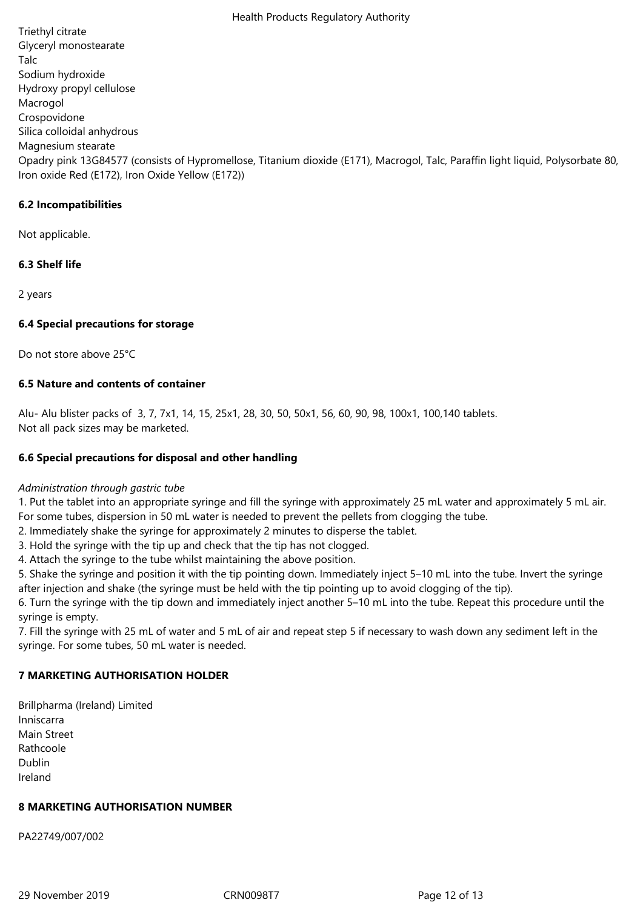Triethyl citrate Glyceryl monostearate Talc Sodium hydroxide Hydroxy propyl cellulose Macrogol Crospovidone Silica colloidal anhydrous Magnesium stearate Opadry pink 13G84577 (consists of Hypromellose, Titanium dioxide (E171), Macrogol, Talc, Paraffin light liquid, Polysorbate 80, Iron oxide Red (E172), Iron Oxide Yellow (E172))

# **6.2 Incompatibilities**

Not applicable.

# **6.3 Shelf life**

2 years

# **6.4 Special precautions for storage**

Do not store above 25°C

# **6.5 Nature and contents of container**

Alu- Alu blister packs of 3, 7, 7x1, 14, 15, 25x1, 28, 30, 50, 50x1, 56, 60, 90, 98, 100x1, 100,140 tablets. Not all pack sizes may be marketed.

# **6.6 Special precautions for disposal and other handling**

## *Administration through gastric tube*

1. Put the tablet into an appropriate syringe and fill the syringe with approximately 25 mL water and approximately 5 mL air. For some tubes, dispersion in 50 mL water is needed to prevent the pellets from clogging the tube.

- 2. Immediately shake the syringe for approximately 2 minutes to disperse the tablet.
- 3. Hold the syringe with the tip up and check that the tip has not clogged.

4. Attach the syringe to the tube whilst maintaining the above position.

5. Shake the syringe and position it with the tip pointing down. Immediately inject 5–10 mL into the tube. Invert the syringe after injection and shake (the syringe must be held with the tip pointing up to avoid clogging of the tip).

6. Turn the syringe with the tip down and immediately inject another 5–10 mL into the tube. Repeat this procedure until the syringe is empty.

7. Fill the syringe with 25 mL of water and 5 mL of air and repeat step 5 if necessary to wash down any sediment left in the syringe. For some tubes, 50 mL water is needed.

# **7 MARKETING AUTHORISATION HOLDER**

Brillpharma (Ireland) Limited Inniscarra Main Street Rathcoole Dublin Ireland

#### **8 MARKETING AUTHORISATION NUMBER**

PA22749/007/002